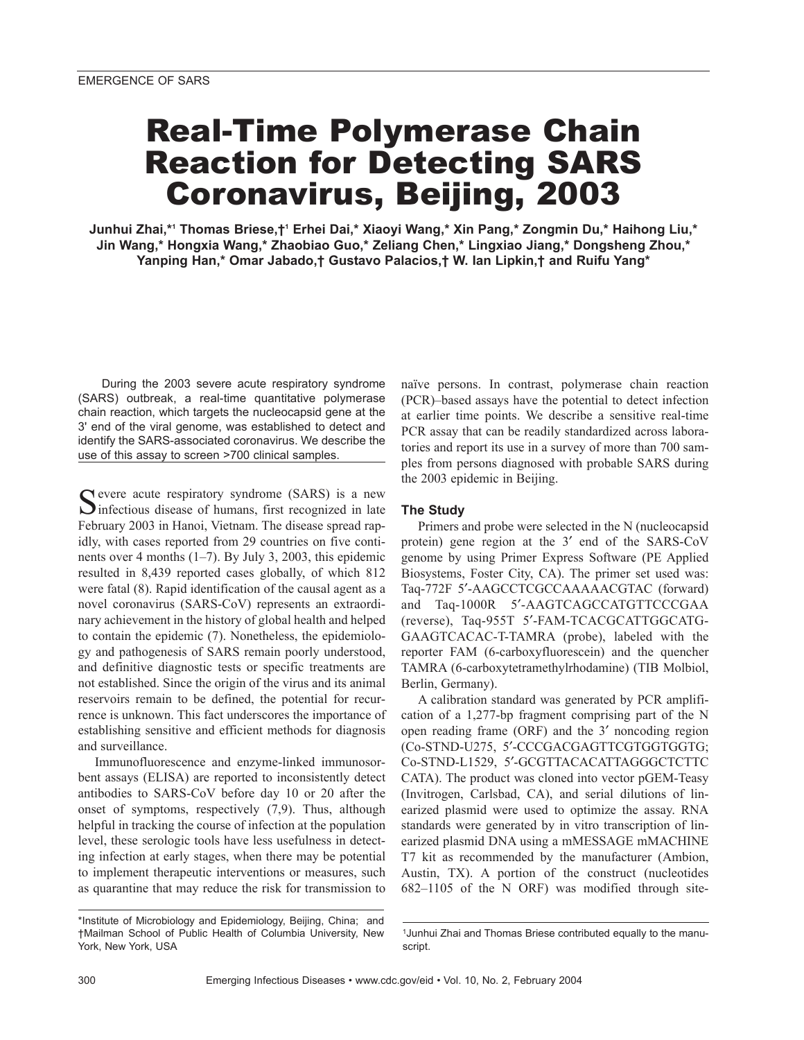# Real-Time Polymerase Chain Reaction for Detecting SARS Coronavirus, Beijing, 2003

**Junhui Zhai,\*1 Thomas Briese,†1 Erhei Dai,\* Xiaoyi Wang,\* Xin Pang,\* Zongmin Du,\* Haihong Liu,\* Jin Wang,\* Hongxia Wang,\* Zhaobiao Guo,\* Zeliang Chen,\* Lingxiao Jiang,\* Dongsheng Zhou,\* Yanping Han,\* Omar Jabado,† Gustavo Palacios,† W. Ian Lipkin,† and Ruifu Yang\***

During the 2003 severe acute respiratory syndrome (SARS) outbreak, a real-time quantitative polymerase chain reaction, which targets the nucleocapsid gene at the 3' end of the viral genome, was established to detect and identify the SARS-associated coronavirus. We describe the use of this assay to screen >700 clinical samples.

Cevere acute respiratory syndrome (SARS) is a new  $\sum$  infectious disease of humans, first recognized in late February 2003 in Hanoi, Vietnam. The disease spread rapidly, with cases reported from 29 countries on five continents over 4 months (1–7). By July 3, 2003, this epidemic resulted in 8,439 reported cases globally, of which 812 were fatal (8). Rapid identification of the causal agent as a novel coronavirus (SARS-CoV) represents an extraordinary achievement in the history of global health and helped to contain the epidemic (7). Nonetheless, the epidemiology and pathogenesis of SARS remain poorly understood, and definitive diagnostic tests or specific treatments are not established. Since the origin of the virus and its animal reservoirs remain to be defined, the potential for recurrence is unknown. This fact underscores the importance of establishing sensitive and efficient methods for diagnosis and surveillance.

Immunofluorescence and enzyme-linked immunosorbent assays (ELISA) are reported to inconsistently detect antibodies to SARS-CoV before day 10 or 20 after the onset of symptoms, respectively (7,9). Thus, although helpful in tracking the course of infection at the population level, these serologic tools have less usefulness in detecting infection at early stages, when there may be potential to implement therapeutic interventions or measures, such as quarantine that may reduce the risk for transmission to naïve persons. In contrast, polymerase chain reaction (PCR)–based assays have the potential to detect infection at earlier time points. We describe a sensitive real-time PCR assay that can be readily standardized across laboratories and report its use in a survey of more than 700 samples from persons diagnosed with probable SARS during the 2003 epidemic in Beijing.

## **The Study**

Primers and probe were selected in the N (nucleocapsid protein) gene region at the 3′ end of the SARS-CoV genome by using Primer Express Software (PE Applied Biosystems, Foster City, CA). The primer set used was: Taq-772F 5′-AAGCCTCGCCAAAAACGTAC (forward) and Taq-1000R 5′-AAGTCAGCCATGTTCCCGAA (reverse), Taq-955T 5′-FAM-TCACGCATTGGCATG-GAAGTCACAC-T-TAMRA (probe), labeled with the reporter FAM (6-carboxyfluorescein) and the quencher TAMRA (6-carboxytetramethylrhodamine) (TIB Molbiol, Berlin, Germany).

A calibration standard was generated by PCR amplification of a 1,277-bp fragment comprising part of the N open reading frame (ORF) and the 3′ noncoding region (Co-STND-U275, 5′-CCCGACGAGTTCGTGGTGGTG; Co-STND-L1529, 5′-GCGTTACACATTAGGGCTCTTC CATA). The product was cloned into vector pGEM-Teasy (Invitrogen, Carlsbad, CA), and serial dilutions of linearized plasmid were used to optimize the assay. RNA standards were generated by in vitro transcription of linearized plasmid DNA using a mMESSAGE mMACHINE T7 kit as recommended by the manufacturer (Ambion, Austin, TX). A portion of the construct (nucleotides 682–1105 of the N ORF) was modified through site-

<sup>\*</sup>Institute of Microbiology and Epidemiology, Beijing, China; and †Mailman School of Public Health of Columbia University, New York, New York, USA

<sup>1</sup>Junhui Zhai and Thomas Briese contributed equally to the manuscript.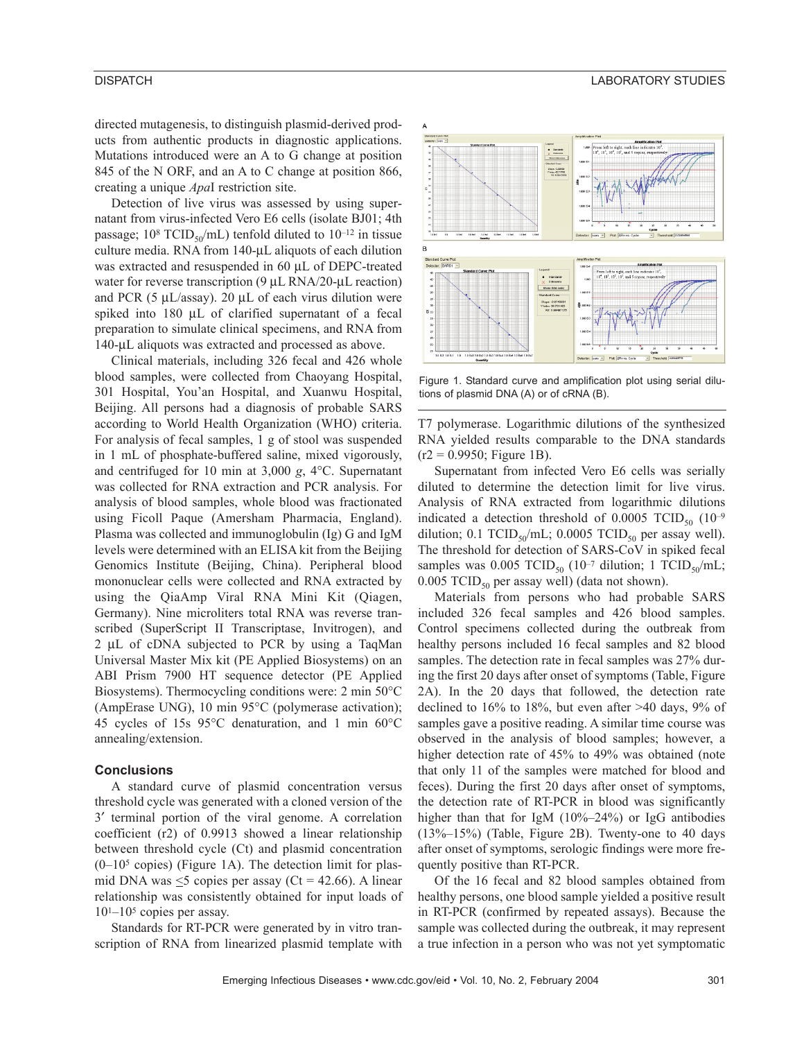directed mutagenesis, to distinguish plasmid-derived products from authentic products in diagnostic applications. Mutations introduced were an A to G change at position 845 of the N ORF, and an A to C change at position 866, creating a unique *Apa*I restriction site.

Detection of live virus was assessed by using supernatant from virus-infected Vero E6 cells (isolate BJ01; 4th passage;  $10^8$  TCID<sub>50</sub>/mL) tenfold diluted to  $10^{-12}$  in tissue culture media. RNA from 140-µL aliquots of each dilution was extracted and resuspended in 60 µL of DEPC-treated water for reverse transcription (9 µL RNA/20-µL reaction) and PCR (5  $\mu$ L/assay). 20  $\mu$ L of each virus dilution were spiked into 180 µL of clarified supernatant of a fecal preparation to simulate clinical specimens, and RNA from 140-µL aliquots was extracted and processed as above.

Clinical materials, including 326 fecal and 426 whole blood samples, were collected from Chaoyang Hospital, 301 Hospital, You'an Hospital, and Xuanwu Hospital, Beijing. All persons had a diagnosis of probable SARS according to World Health Organization (WHO) criteria. For analysis of fecal samples, 1 g of stool was suspended in 1 mL of phosphate-buffered saline, mixed vigorously, and centrifuged for 10 min at 3,000 *g*, 4°C. Supernatant was collected for RNA extraction and PCR analysis. For analysis of blood samples, whole blood was fractionated using Ficoll Paque (Amersham Pharmacia, England). Plasma was collected and immunoglobulin (Ig) G and IgM levels were determined with an ELISA kit from the Beijing Genomics Institute (Beijing, China). Peripheral blood mononuclear cells were collected and RNA extracted by using the QiaAmp Viral RNA Mini Kit (Qiagen, Germany). Nine microliters total RNA was reverse transcribed (SuperScript II Transcriptase, Invitrogen), and 2 µL of cDNA subjected to PCR by using a TaqMan Universal Master Mix kit (PE Applied Biosystems) on an ABI Prism 7900 HT sequence detector (PE Applied Biosystems). Thermocycling conditions were: 2 min 50°C (AmpErase UNG), 10 min 95°C (polymerase activation); 45 cycles of 15s 95°C denaturation, and 1 min 60°C annealing/extension.

### **Conclusions**

A standard curve of plasmid concentration versus threshold cycle was generated with a cloned version of the 3′ terminal portion of the viral genome. A correlation coefficient (r2) of 0.9913 showed a linear relationship between threshold cycle (Ct) and plasmid concentration (0–105 copies) (Figure 1A). The detection limit for plasmid DNA was  $\leq$ 5 copies per assay (Ct = 42.66). A linear relationship was consistently obtained for input loads of  $10^{1}$ – $10^{5}$  copies per assay.

Standards for RT-PCR were generated by in vitro transcription of RNA from linearized plasmid template with



Figure 1. Standard curve and amplification plot using serial dilutions of plasmid DNA (A) or of cRNA (B).

T7 polymerase. Logarithmic dilutions of the synthesized RNA yielded results comparable to the DNA standards  $(r2 = 0.9950;$  Figure 1B).

Supernatant from infected Vero E6 cells was serially diluted to determine the detection limit for live virus. Analysis of RNA extracted from logarithmic dilutions indicated a detection threshold of 0.0005 TCID<sub>50</sub>  $(10^{-9}$ dilution; 0.1 TCID<sub>50</sub>/mL; 0.0005 TCID<sub>50</sub> per assay well). The threshold for detection of SARS-CoV in spiked fecal samples was 0.005 TCID<sub>50</sub> (10<sup>-7</sup> dilution; 1 TCID<sub>50</sub>/mL; 0.005 TCID<sub>50</sub> per assay well) (data not shown).

Materials from persons who had probable SARS included 326 fecal samples and 426 blood samples. Control specimens collected during the outbreak from healthy persons included 16 fecal samples and 82 blood samples. The detection rate in fecal samples was 27% during the first 20 days after onset of symptoms (Table, Figure 2A). In the 20 days that followed, the detection rate declined to 16% to 18%, but even after >40 days, 9% of samples gave a positive reading. A similar time course was observed in the analysis of blood samples; however, a higher detection rate of 45% to 49% was obtained (note that only 11 of the samples were matched for blood and feces). During the first 20 days after onset of symptoms, the detection rate of RT-PCR in blood was significantly higher than that for IgM (10%–24%) or IgG antibodies (13%–15%) (Table, Figure 2B). Twenty-one to 40 days after onset of symptoms, serologic findings were more frequently positive than RT-PCR.

Of the 16 fecal and 82 blood samples obtained from healthy persons, one blood sample yielded a positive result in RT-PCR (confirmed by repeated assays). Because the sample was collected during the outbreak, it may represent a true infection in a person who was not yet symptomatic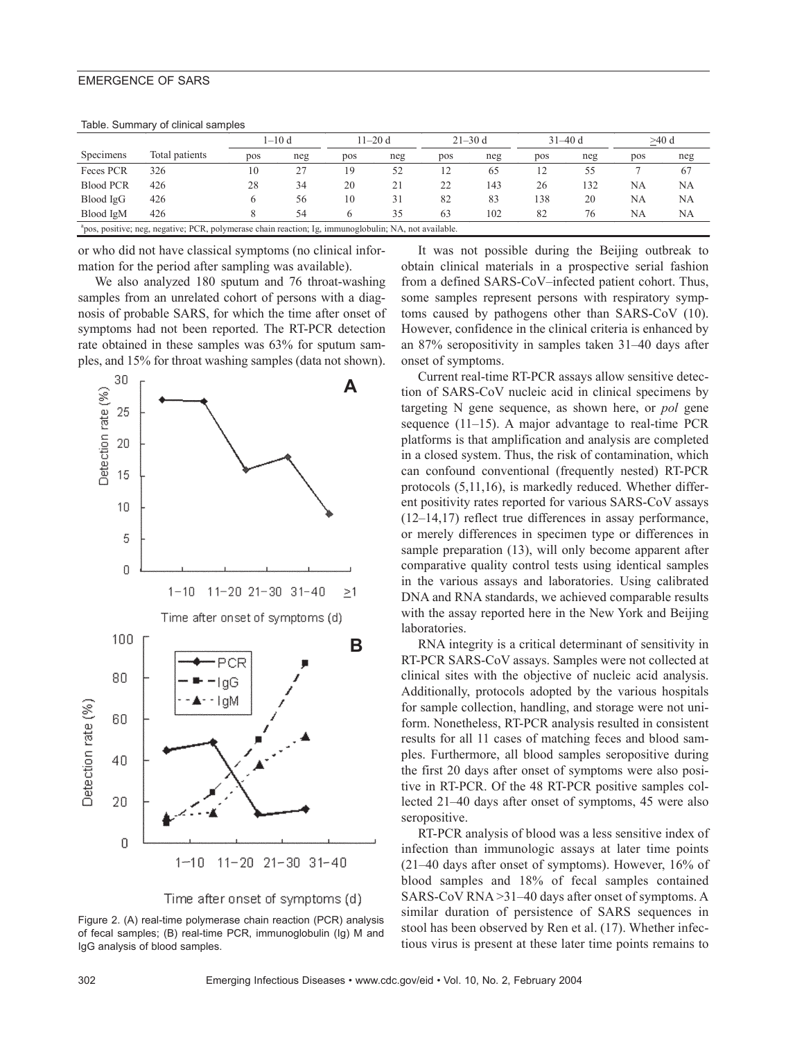## EMERGENCE OF SARS

|                                                                                                                   |                | $1 - 10d$ |     | $11 - 20d$    |     | $21 - 30$ d |     | $31 - 40d$ |     | $>40$ d |     |
|-------------------------------------------------------------------------------------------------------------------|----------------|-----------|-----|---------------|-----|-------------|-----|------------|-----|---------|-----|
| Specimens                                                                                                         | Total patients | pos       | neg | pos           | neg | pos         | neg | pos        | neg | pos     | neg |
| Feces PCR                                                                                                         | 326            | 10        | 27  | 19            | 52  | 12          | 65  |            | 55  |         | 67  |
| <b>Blood PCR</b>                                                                                                  | 426            | 28        | 34  | 20            |     | 22          | 143 | 26         | 132 | NA      | NA  |
| Blood IgG                                                                                                         | 426            |           | 56  | 10            | 31  | 82          | 83  | 138        | 20  | NA      | NA  |
| Blood IgM                                                                                                         | 426            |           | 54  | $\mathfrak h$ | 35  | 63          | 102 | 82         | 76  | NA      | NA  |
| <sup>a</sup> pos, positive; neg, negative; PCR, polymerase chain reaction; Ig, immunoglobulin; NA, not available. |                |           |     |               |     |             |     |            |     |         |     |

or who did not have classical symptoms (no clinical information for the period after sampling was available).

We also analyzed 180 sputum and 76 throat-washing samples from an unrelated cohort of persons with a diagnosis of probable SARS, for which the time after onset of symptoms had not been reported. The RT-PCR detection rate obtained in these samples was 63% for sputum samples, and 15% for throat washing samples (data not shown).





Figure 2. (A) real-time polymerase chain reaction (PCR) analysis of fecal samples; (B) real-time PCR, immunoglobulin (Ig) M and IgG analysis of blood samples.

It was not possible during the Beijing outbreak to obtain clinical materials in a prospective serial fashion from a defined SARS-CoV–infected patient cohort. Thus, some samples represent persons with respiratory symptoms caused by pathogens other than SARS-CoV (10). However, confidence in the clinical criteria is enhanced by an 87% seropositivity in samples taken 31–40 days after onset of symptoms.

Current real-time RT-PCR assays allow sensitive detection of SARS-CoV nucleic acid in clinical specimens by targeting N gene sequence, as shown here, or *pol* gene sequence (11–15). A major advantage to real-time PCR platforms is that amplification and analysis are completed in a closed system. Thus, the risk of contamination, which can confound conventional (frequently nested) RT-PCR protocols (5,11,16), is markedly reduced. Whether different positivity rates reported for various SARS-CoV assays (12–14,17) reflect true differences in assay performance, or merely differences in specimen type or differences in sample preparation (13), will only become apparent after comparative quality control tests using identical samples in the various assays and laboratories. Using calibrated DNA and RNA standards, we achieved comparable results with the assay reported here in the New York and Beijing laboratories.

RNA integrity is a critical determinant of sensitivity in RT-PCR SARS-CoV assays. Samples were not collected at clinical sites with the objective of nucleic acid analysis. Additionally, protocols adopted by the various hospitals for sample collection, handling, and storage were not uniform. Nonetheless, RT-PCR analysis resulted in consistent results for all 11 cases of matching feces and blood samples. Furthermore, all blood samples seropositive during the first 20 days after onset of symptoms were also positive in RT-PCR. Of the 48 RT-PCR positive samples collected 21–40 days after onset of symptoms, 45 were also seropositive.

RT-PCR analysis of blood was a less sensitive index of infection than immunologic assays at later time points (21–40 days after onset of symptoms). However, 16% of blood samples and 18% of fecal samples contained SARS-CoV RNA >31–40 days after onset of symptoms. A similar duration of persistence of SARS sequences in stool has been observed by Ren et al. (17). Whether infectious virus is present at these later time points remains to